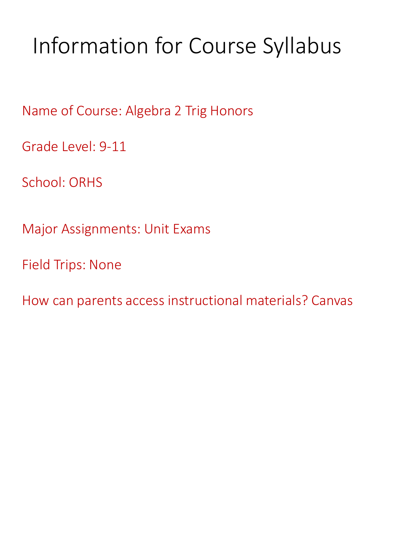# Information for Course Syllabus

Name of Course: Algebra 2 Trig Honors

Grade Level: 9-11

School: ORHS

Major Assignments: Unit Exams

Field Trips: None

How can parents access instructional materials? Canvas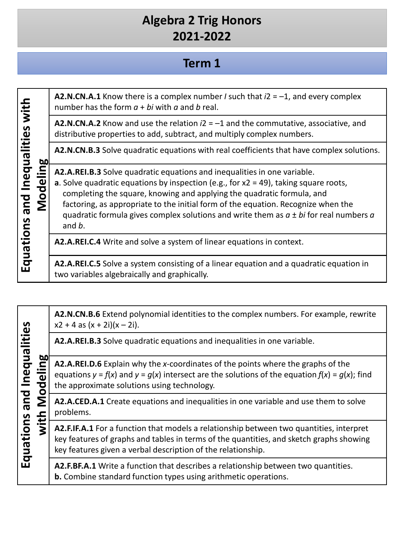#### **Term 1**

**A2.N.CN.A.1** Know there is a complex number *I* such that *i*2 = –1, and every complex **Equations and Inequalities with**  Equations and Inequalities with number has the form *a* + *bi* with *a* and *b* real. **A2.N.CN.A.2** Know and use the relation *i*2 = –1 and the commutative, associative, and distributive properties to add, subtract, and multiply complex numbers. **A2.N.CN.B.3** Solve quadratic equations with real coefficients that have complex solutions. **Modeling A2.A.REI.B.3** Solve quadratic equations and inequalities in one variable. **a**. Solve quadratic equations by inspection (e.g., for x2 = 49), taking square roots, completing the square, knowing and applying the quadratic formula, and factoring, as appropriate to the initial form of the equation. Recognize when the quadratic formula gives complex solutions and write them as *a* ± *bi* for real numbers *a*  and *b*. **A2.A.REI.C.4** Write and solve a system of linear equations in context. **A2.A.REI.C.5** Solve a system consisting of a linear equation and a quadratic equation in two variables algebraically and graphically.

|                                                                                                 | A2.N.CN.B.6 Extend polynomial identities to the complex numbers. For example, rewrite<br>$x2 + 4$ as $(x + 2i)(x - 2i)$ .                                                                                                                          |
|-------------------------------------------------------------------------------------------------|----------------------------------------------------------------------------------------------------------------------------------------------------------------------------------------------------------------------------------------------------|
| lities<br>and Inequal<br>1 Modeling<br><b>bo</b><br>Equations<br>$\overline{\ddot{\mathbf{v}}}$ | A2.A.REI.B.3 Solve quadratic equations and inequalities in one variable.                                                                                                                                                                           |
|                                                                                                 | A2.A.REI.D.6 Explain why the x-coordinates of the points where the graphs of the<br>equations $y = f(x)$ and $y = g(x)$ intersect are the solutions of the equation $f(x) = g(x)$ ; find<br>the approximate solutions using technology.            |
|                                                                                                 | A2.A.CED.A.1 Create equations and inequalities in one variable and use them to solve<br>problems.                                                                                                                                                  |
|                                                                                                 | A2.F.IF.A.1 For a function that models a relationship between two quantities, interpret<br>key features of graphs and tables in terms of the quantities, and sketch graphs showing<br>key features given a verbal description of the relationship. |
|                                                                                                 | A2.F.BF.A.1 Write a function that describes a relationship between two quantities.<br><b>b.</b> Combine standard function types using arithmetic operations.                                                                                       |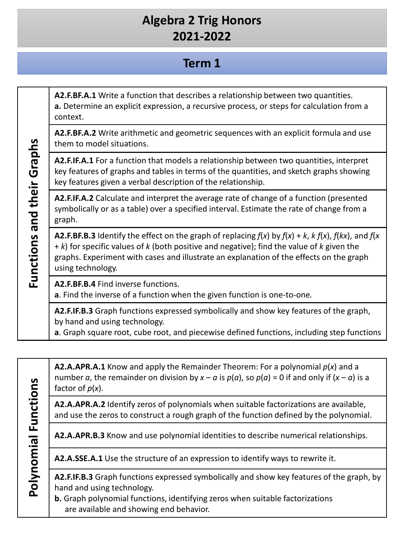## **Term 1**

**A2.F.BF.A.1** Write a function that describes a relationship between two quantities. **a.** Determine an explicit expression, a recursive process, or steps for calculation from a context.

**A2.F.BF.A.2** Write arithmetic and geometric sequences with an explicit formula and use them to model situations.

**A2.F.IF.A.1** For a function that models a relationship between two quantities, interpret key features of graphs and tables in terms of the quantities, and sketch graphs showing key features given a verbal description of the relationship.

**A2.F.IF.A.2** Calculate and interpret the average rate of change of a function (presented symbolically or as a table) over a specified interval. Estimate the rate of change from a graph.

**A2.F.BF.B.3** Identify the effect on the graph of replacing  $f(x)$  by  $f(x) + k$ ,  $k f(x)$ ,  $f(kx)$ , and  $f(x)$ + *k*) for specific values of *k* (both positive and negative); find the value of *k* given the graphs. Experiment with cases and illustrate an explanation of the effects on the graph using technology.

**A2.F.BF.B.4** Find inverse functions.

**a**. Find the inverse of a function when the given function is one-to-one*.*

**A2.F.IF.B.3** Graph functions expressed symbolically and show key features of the graph, by hand and using technology.

**a**. Graph square root, cube root, and piecewise defined functions, including step functions

**A2.A.APR.A.1** Know and apply the Remainder Theorem: For a polynomial *p*(*x*) and a number *a*, the remainder on division by  $x - a$  is  $p(a)$ , so  $p(a) = 0$  if and only if  $(x - a)$  is a factor of *p*(*x*).

**A2.A.APR.A.2** Identify zeros of polynomials when suitable factorizations are available, and use the zeros to construct a rough graph of the function defined by the polynomial.

**A2.A.APR.B.3** Know and use polynomial identities to describe numerical relationships.

**A2.A.SSE.A.1** Use the structure of an expression to identify ways to rewrite it.

**A2.F.IF.B.3** Graph functions expressed symbolically and show key features of the graph, by hand and using technology.

**b.** Graph polynomial functions, identifying zeros when suitable factorizations are available and showing end behavior.

Polynomial Functions **Polynomial Functions**

**Functions and their Graphs**

Functions and their Graphs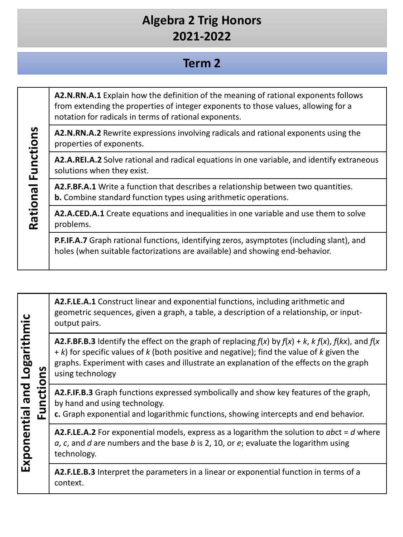#### **Term 2**

**A2.N.RN.A.1** Explain how the definition of the meaning of rational exponents follows from extending the properties of integer exponents to those values, allowing for a notation for radicals in terms of rational exponents.

**A2.N.RN.A.2** Rewrite expressions involving radicals and rational exponents using the properties of exponents.

**A2.A.REI.A.2** Solve rational and radical equations in one variable, and identify extraneous solutions when they exist.

**A2.F.BF.A.1** Write a function that describes a relationship between two quantities. **b.** Combine standard function types using arithmetic operations.

**Rational Functions**

Rational Functions

**A2.A.CED.A.1** Create equations and inequalities in one variable and use them to solve problems.

**P.F.IF.A.7** Graph rational functions, identifying zeros, asymptotes (including slant), and holes (when suitable factorizations are available) and showing end-behavior.

| Logarithmic<br>Exponential and<br>Functio |  | A2.F.LE.A.1 Construct linear and exponential functions, including arithmetic and<br>geometric sequences, given a graph, a table, a description of a relationship, or input-<br>output pairs.                                                                                                                                           |
|-------------------------------------------|--|----------------------------------------------------------------------------------------------------------------------------------------------------------------------------------------------------------------------------------------------------------------------------------------------------------------------------------------|
|                                           |  | <b>A2.F.BF.B.3</b> Identify the effect on the graph of replacing $f(x)$ by $f(x) + k$ , $k f(x)$ , $f(kx)$ , and $f(x)$<br>$+ k$ ) for specific values of k (both positive and negative); find the value of k given the<br>graphs. Experiment with cases and illustrate an explanation of the effects on the graph<br>using technology |
|                                           |  | A2.F.IF.B.3 Graph functions expressed symbolically and show key features of the graph,<br>by hand and using technology.<br>c. Graph exponential and logarithmic functions, showing intercepts and end behavior.                                                                                                                        |
|                                           |  | <b>A2.F.LE.A.2</b> For exponential models, express as a logarithm the solution to abct = $d$ where<br>$a, c$ , and $d$ are numbers and the base $b$ is 2, 10, or $e$ ; evaluate the logarithm using<br>technology.                                                                                                                     |
|                                           |  | A2.F.LE.B.3 Interpret the parameters in a linear or exponential function in terms of a<br>context.                                                                                                                                                                                                                                     |